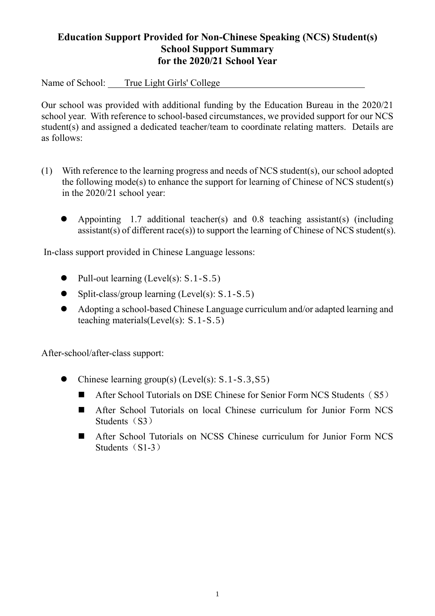## **Education Support Provided for Non-Chinese Speaking (NCS) Student(s) School Support Summary for the 2020/21 School Year**

Name of School: True Light Girls' College 。

Our school was provided with additional funding by the Education Bureau in the 2020/21 school year. With reference to school-based circumstances, we provided support for our NCS student(s) and assigned a dedicated teacher/team to coordinate relating matters. Details are as follows:

- (1) With reference to the learning progress and needs of NCS student(s), our school adopted the following mode(s) to enhance the support for learning of Chinese of NCS student(s) in the 2020/21 school year:
	- Appointing 1.7 additional teacher(s) and 0.8 teaching assistant(s) (including assistant(s) of different race(s)) to support the learning of Chinese of NCS student(s).

In-class support provided in Chinese Language lessons:

- $\bullet$  Pull-out learning (Level(s): S.1-S.5)
- $\bullet$  Split-class/group learning (Level(s): S.1-S.5)
- Adopting a school-based Chinese Language curriculum and/or adapted learning and teaching materials(Level(s): S.1-S.5)

After-school/after-class support:

- Chinese learning group(s) (Level(s): S.1-S.3,S5)
	- After School Tutorials on DSE Chinese for Senior Form NCS Students (S5)
	- After School Tutorials on local Chinese curriculum for Junior Form NCS Students $(S3)$
	- After School Tutorials on NCSS Chinese curriculum for Junior Form NCS Students $(S1-3)$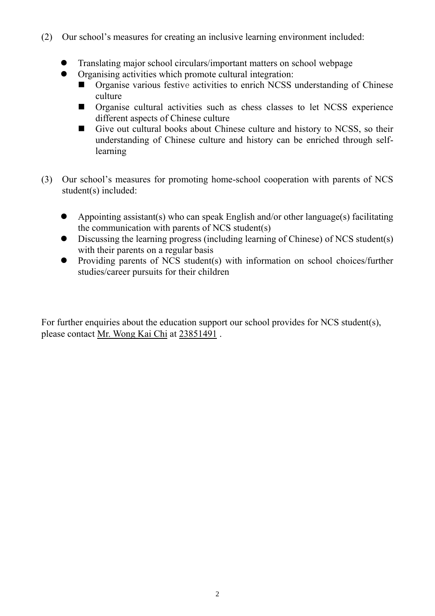- (2) Our school's measures for creating an inclusive learning environment included:
	- Translating major school circulars/important matters on school webpage
		- Organising activities which promote cultural integration:
			- Organise various festive activities to enrich NCSS understanding of Chinese culture
			- **Organise cultural activities such as chess classes to let NCSS experience** different aspects of Chinese culture
			- Give out cultural books about Chinese culture and history to NCSS, so their understanding of Chinese culture and history can be enriched through selflearning
- (3) Our school's measures for promoting home-school cooperation with parents of NCS student(s) included:
	- Appointing assistant(s) who can speak English and/or other language(s) facilitating the communication with parents of NCS student(s)
	- Discussing the learning progress (including learning of Chinese) of NCS student(s) with their parents on a regular basis
	- Providing parents of NCS student(s) with information on school choices/further studies/career pursuits for their children

For further enquiries about the education support our school provides for NCS student(s), please contact Mr. Wong Kai Chi at 23851491 .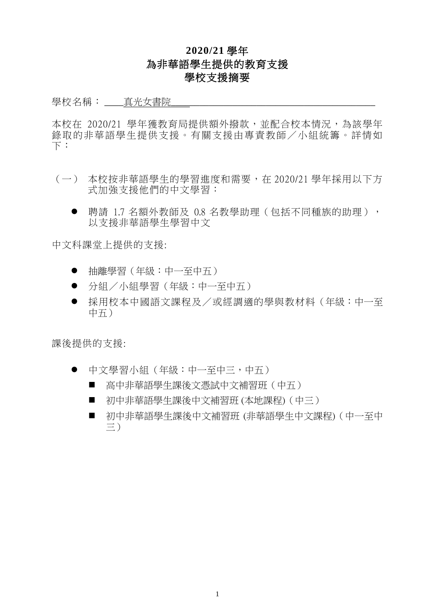## **2020/21** 學年 為非華語學生提供的教育支援 學校支援摘要

## 學校名稱: \_\_\_\_真光女書院

本校在 2020/21 學年獲教育局提供額外撥款,並配合校本情況,為該學年 錄取的非華語學生提供支援。有關支援由專責教師/小組統籌。詳情如 下︰

- (一) 本校按非華語學生的學習進度和需要,在 2020/21 學年採用以下方 式加強支援他們的中文學習:
	- 聘請 1.7 名額外教師及 0.8 名教學助理(包括不同種族的助理), 以支援非華語學生學習中文

中文科課堂上提供的支援:

- 抽離學習(年級:中一至中五)
- 分組/小組學習(年級:中一至中五)
- 採用校本中國語文課程及/或經調適的學與教材料(年級:中一至 中五)

課後提供的支援:

- 中文學習小組(年級:中一至中三,中五)
	- 高中非華語學生課後文憑試中文補習班(中五)
	- 初中非華語學生課後中文補習班 (本地課程) (中三)
	- 初中非華語學生課後中文補習班 (非華語學生中文課程) (中一至中 三)